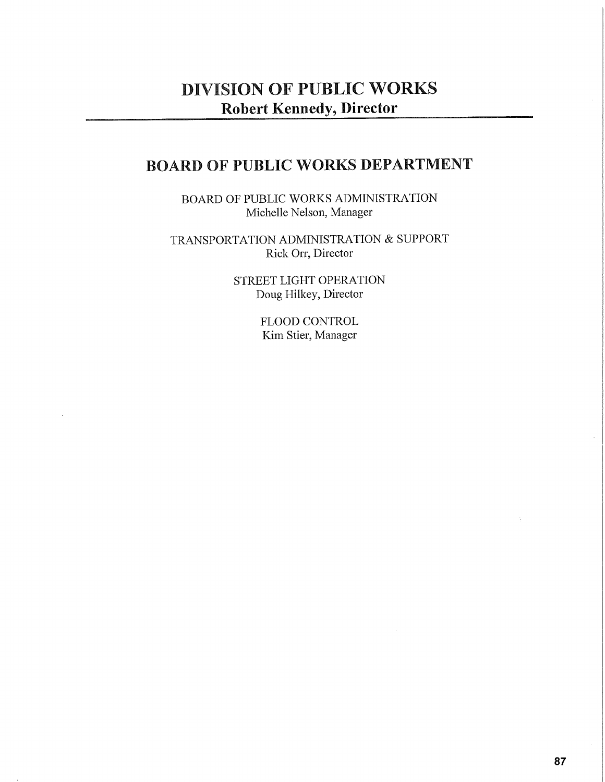## **DIVISION OF PUBLIC WORKS Robert Kennedy, Director**

## **BOARD OF PUBLIC WORKS DEPARTMENT**

BOARD OF PUBLIC WORKS ADMINISTRATION Michelle Nelson, Manager

TRANSPORTATION ADMINISTRATION & SUPPORT Rick Orr, Director

> STREET LIGHT OPERATION Doug Hilkey, Director

> > FLOOD CONTROL Kim Stier, Manager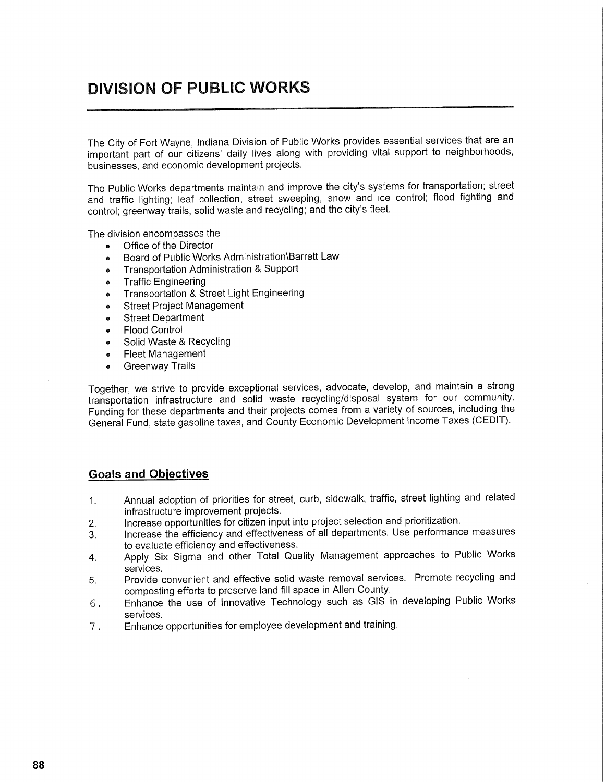## **DIVISION OF PUBLIC WORKS**

The City of Fort Wayne, Indiana Division of Public Works provides essential services that are an important part of our citizens' daily lives along with providing vital support to neighborhoods, businesses, and economic development projects.

The Public Works departments maintain and improve the city's systems for transportation; street and traffic lighting; leaf collection, street sweeping, snow and ice control; flood fighting and control; greenway trails, solid waste and recycling; and the city's fleet.

The division encompasses the

- Office of the Director
- Board of Public Works Administration\Barrett Law
- Transportation Administration & Support
- Traffic Engineering
- Transportation & Street Light Engineering
- Street Project Management
- Street Department
- Flood Control
- Solid Waste & Recycling
- Fleet Management
- Greenway Trails

Together, we strive to provide exceptional services, advocate, develop, and maintain a strong transportation infrastructure and solid waste recycling/disposal system for our community. Funding for these departments and their projects comes from a variety of sources, including the General Fund, state gasoline taxes, and County Economic Development Income Taxes (CEDIT).

#### **Goals and Objectives**

- 1. Annual adoption of priorities for street, curb, sidewalk, traffic, street lighting and related infrastructure improvement projects.
- 2. Increase opportunities for citizen input into project selection and prioritization.
- 3. Increase the efficiency and effectiveness of all departments. Use performance measures to evaluate efficiency and effectiveness.
- 4. Apply Six Sigma and other Total Quality Management approaches to Public Works services.
- 5. Provide convenient and effective solid waste removal services. Promote recycling and composting efforts to preserve land fill space in Allen County.
- 6 . Enhance the use of Innovative Technology such as GIS in developing Public Works services.
- 7 . Enhance opportunities for employee development and training.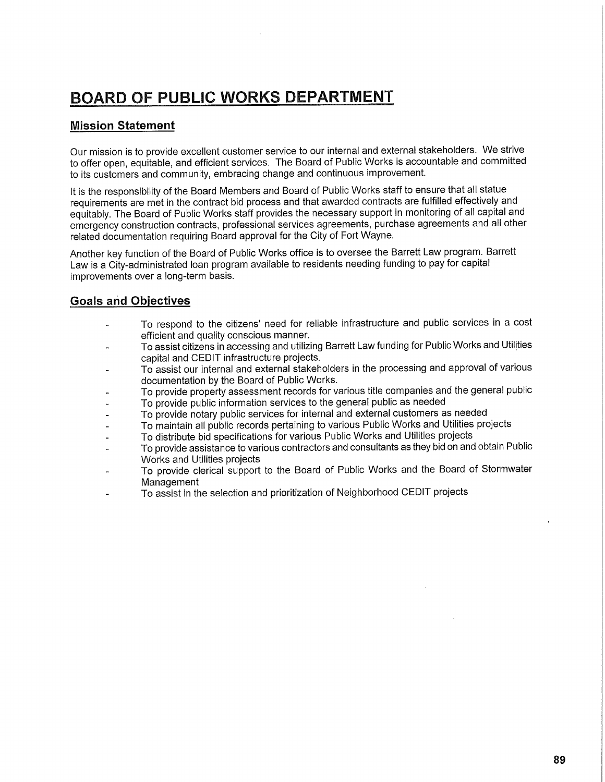## **BOARD OF PUBLIC WORKS DEPARTMENT**

### **Mission Statement**

Our mission is to provide excellent customer service to our internal and external stakeholders. We strive to offer open, equitable, and efficient services. The Board of Public Works is accountable and committed to its customers and community, embracing change and continuous improvement.

It is the responsibility of the Board Members and Board of Public Works staff to ensure that all statue requirements are met in the contract bid process and that awarded contracts are fulfilled effectively and equitably. The Board of Public Works staff provides the necessary support in monitoring of all capital and emergency construction contracts, professional services agreements, purchase agreements and all other related documentation requiring Board approval for the City of Fort Wayne.

Another key function of the Board of Public Works office is to oversee the Barrett Law program. Barrett Law is a City-administrated loan program available to residents needing funding to pay for capital improvements over a long-term basis.

## **Goals and Objectives**

- To respond to the citizens' need for reliable infrastructure and public services in a cost efficient and quality conscious manner.
- To assist citizens in accessing and utilizing Barrett Law funding for Public Works and Utilities capital and CEDIT infrastructure projects.
- To assist our internal and external stakeholders in the processing and approval of various documentation by the Board of Public Works.
- To provide property assessment records for various title companies and the general public
- To provide public information services to the general public as needed
- To provide notary public services for internal and external customers as needed
- To maintain all public records pertaining to various Public Works and Utilities projects
- To distribute bid specifications for various Public Works and Utilities projects
- To provide assistance to various contractors and consultants as they bid on and obtain Public Works and Utilities projects
- To provide clerical support to the Board of Public Works and the Board of Stormwater Management
- To assist in the selection and prioritization of Neighborhood CEDIT projects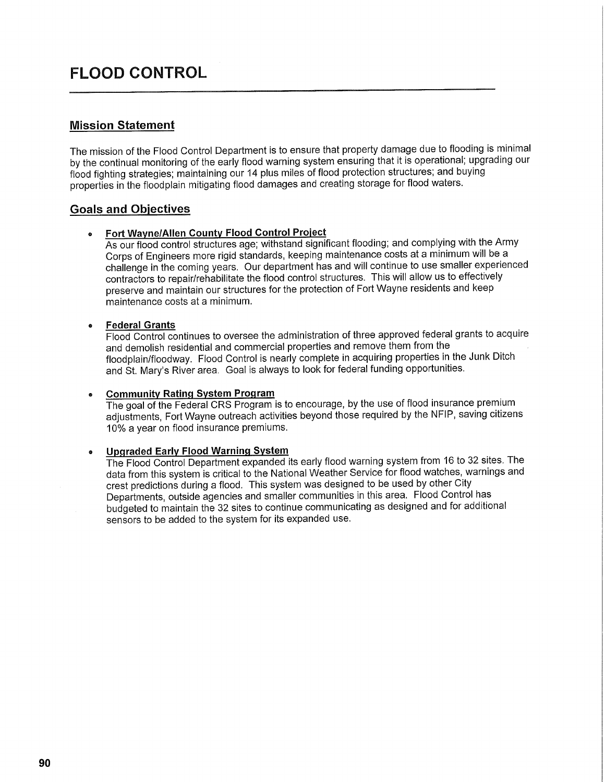## **FLOOD CONTROL**

### **Mission Statement**

The mission of the Flood Control Department is to ensure that property damage due to flooding is minimal by the continual monitoring of the early flood warning system ensuring that it is operational; upgrading our flood fighting strategies; maintaining our 14 plus miles of flood protection structures; and buying properties in the floodplain mitigating flood damages and creating storage for flood waters.

### **Goals and Objectives**

#### **• Fort Wayne/Allen County Flood Control Project**

As our flood control structures age; withstand significant flooding; and complying with the Army Corps of Engineers more rigid standards, keeping maintenance costs at a minimum will be a challenge in the coming years. Our department has and will continue to use smaller experienced contractors to repair/rehabilitate the flood control structures. This will allow us to effectively preserve and maintain our structures for the protection of Fort Wayne residents and keep maintenance costs at a minimum.

#### **• Federal Grants**

Flood Control continues to oversee the administration of three approved federal grants to acquire and demolish residential and commercial properties and remove them from the floodplain/floodway. Flood Control is nearly complete in acquiring properties in the Junk Ditch and St. Mary's River area. Goal is always to look for federal funding opportunities.

#### **9 Community Rating System Program**

The goal of the Federal CRS Program is to encourage, by the use of flood insurance premium adjustments, Fort Wayne outreach activities beyond those required by the NFIP, saving citizens 10% a year on flood insurance premiums.

#### **» Upgraded Early Flood Warning System**

The Flood Control Department expanded its early flood warning system from 16 to 32 sites. The data from this system is critical to the National Weather Service for flood watches, warnings and crest predictions during a flood. This system was designed to be used by other City Departments, outside agencies and smaller communities in this area. Flood Control has budgeted to maintain the 32 sites to continue communicating as designed and for additional sensors to be added to the system for its expanded use.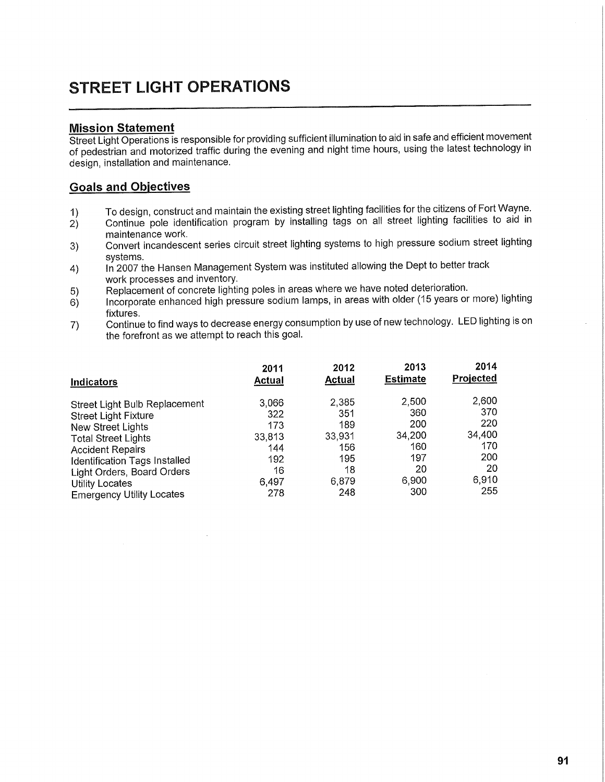# **STREET LIGHT OPERATIONS**

### **Mission Statement**

Street Light Operations is responsible for providing sufficient illumination to aid in safe and efficient movement of pedestrian and motorized traffic during the evening and night time hours, using the latest technology in design, installation and maintenance.

### **Goals and Objectives**

- 1) To design, construct and maintain the existing street lighting facilities for the citizens of Fort Wayne.
- 2) Continue pole identification program by installing tags on all street lighting facilities to aid in maintenance work.
- 3) Convert incandescent series circuit street lighting systems to high pressure sodium street lighting<br>systems.
- systGms. 4) In 2007 the Hansen Management System was instituted allowing the Dept to better track
- work processes and inventory.<br>Replacement of concrete lighting poles in areas where we have noted deterioration.
- $\frac{5}{5}$  replacement of concrete lighting poles in areas with older (15 years or  $\epsilon_{\text{infinite}}$  incorporate enhanced high pressure sodium lamps, in areas with or more) light or more  $\epsilon_{\text{infinite}}$
- Continue to find ways to decrease energy consumption by use of new technology. LED lighting is on  $7)$ the forefront as we attempt to reach this goal.

|                                  | 2011   | 2012          | 2013            | 2014      |
|----------------------------------|--------|---------------|-----------------|-----------|
| Indicators                       | Actual | <b>Actual</b> | <b>Estimate</b> | Projected |
| Street Light Bulb Replacement    | 3,066  | 2,385         | 2,500           | 2,600     |
| <b>Street Light Fixture</b>      | 322    | 351           | 360             | 370       |
| New Street Lights                | 173    | 189           | 200             | 220       |
| <b>Total Street Lights</b>       | 33,813 | 33,931        | 34,200          | 34,400    |
| <b>Accident Repairs</b>          | 144    | 156           | 160             | 170       |
| Identification Tags Installed    | 192    | 195           | 197             | 200       |
| Light Orders, Board Orders       | 16     | 18            | 20              | 20        |
| Utility Locates                  | 6,497  | 6,879         | 6,900           | 6,910     |
| <b>Emergency Utility Locates</b> | 278    | 248           | 300             | 255       |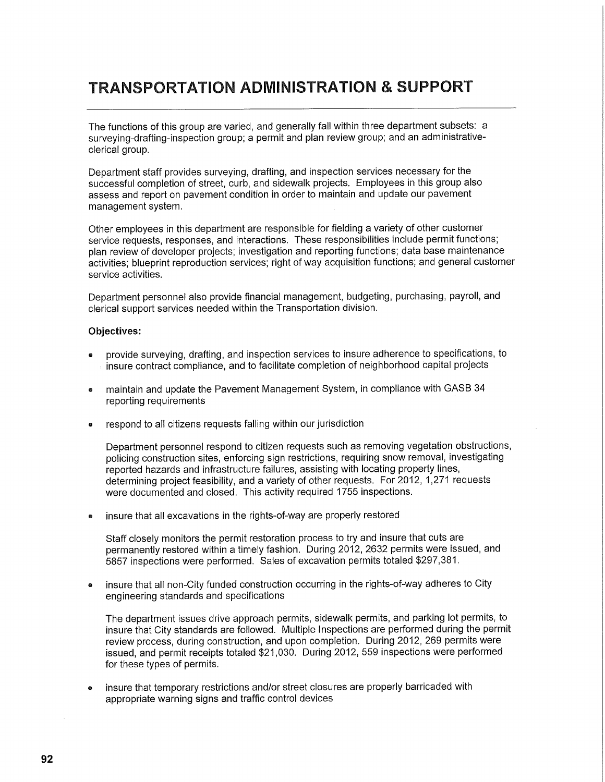## **TRANSPORTATION ADMINISTRATION & SUPPORT**

The functions of this group are varied, and generally fall within three department subsets: a surveying-drafting-inspection group; a permit and plan review group; and an administrativeclerical group.

Department staff provides surveying, drafting, and inspection services necessary for the successful completion of street, curb, and sidewalk projects. Employees in this group also assess and report on pavement condition in order to maintain and update our pavement management system.

Other employees in this department are responsible for fielding a variety of other customer service requests, responses, and interactions. These responsibilities include permit functions; plan review of developer projects; investigation and reporting functions; data base maintenance activities; blueprint reproduction services; right of way acquisition functions; and general customer service activities.

Department personnel also provide financial management, budgeting, purchasing, payroll, and clerical support services needed within the Transportation division.

#### **Objectives:**

- provide surveying, drafting, and inspection services to insure adherence to specifications, to insure contract compliance, and to facilitate completion of neighborhood capital projects
- maintain and update the Pavement Management System, in compliance with GASB 34 reporting requirements
- respond to all citizens requests falling within our jurisdiction

Department personnel respond to citizen requests such as removing vegetation obstructions, policing construction sites, enforcing sign restrictions, requiring snow removal, investigating reported hazards and infrastructure failures, assisting with locating property lines, determining project feasibility, and a variety of other requests. For 2012, 1,271 requests were documented and closed. This activity required 1755 inspections.

• insure that all excavations in the rights-of-way are properly restored

Staff closely monitors the permit restoration process to try and insure that cuts are permanently restored within a timely fashion. During 2012, 2632 permits were issued, and 5857 inspections were performed. Sales of excavation permits totaled \$297,381.

• insure that all non-City funded construction occurring in the rights-of-way adheres to City engineering standards and specifications

The department issues drive approach permits, sidewalk permits, and parking lot permits, to insure that City standards are followed. Multiple Inspections are performed during the permit review process, during construction, and upon completion. During 2012, 269 permits were issued, and permit receipts totaled \$21,030. During 2012, 559 inspections were performed for these types of permits.

• insure that temporary restrictions and/or street closures are properly barricaded with appropriate warning signs and traffic control devices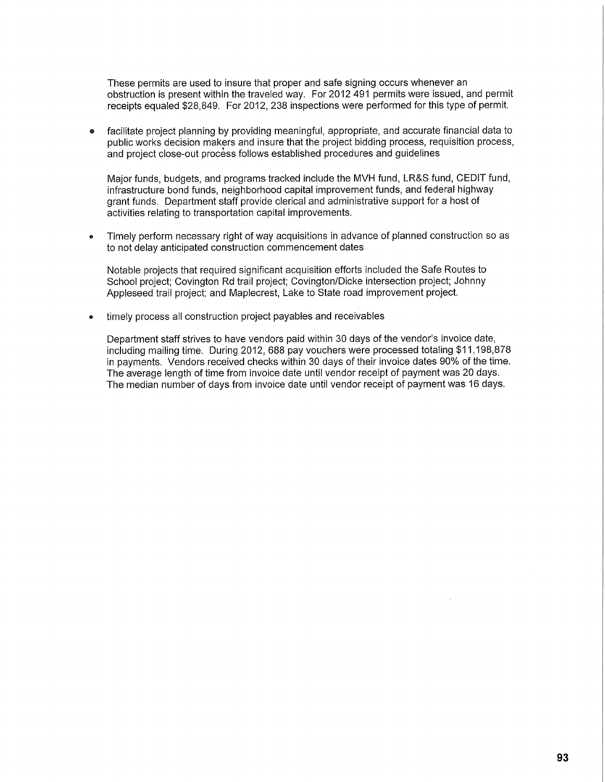These permits are used to insure that proper and safe signing occurs whenever an obstruction is present within the traveled way. For 2012 491 permits were issued, and permit receipts equaled \$28,849. For 2012, 238 inspections were performed for this type of permit.

facilitate project planning by providing meaningful, appropriate, and accurate financial data to public works decision makers and insure that the project bidding process, requisition process, and project close-out process follows established procedures and guidelines

Major funds, budgets, and programs tracked include the MVH fund, LR&S fund, CEDIT fund, infrastructure bond funds, neighborhood capital improvement funds, and federal highway grant funds. Department staff provide clerical and administrative support for a host of activities relating to transportation capital improvements.

Timely perform necessary right of way acquisitions in advance of planned construction so as to not delay anticipated construction commencement dates

Notable projects that required significant acquisition efforts included the Safe Routes to School project; Covington Rd trail project; Covington/Dicke intersection project; Johnny Appleseed trail project; and Maplecrest, Lake to State road improvement project.

timely process all construction project payables and receivables

Department staff strives to have vendors paid within 30 days of the vendor's invoice date, including mailing time. During 2012, 688 pay vouchers were processed totaling \$11,198,878 in payments. Vendors received checks within 30 days of their invoice dates 90% of the time. The average length of time from invoice date until vendor receipt of payment was 20 days. The median number of days from invoice date until vendor receipt of payment was 16 days.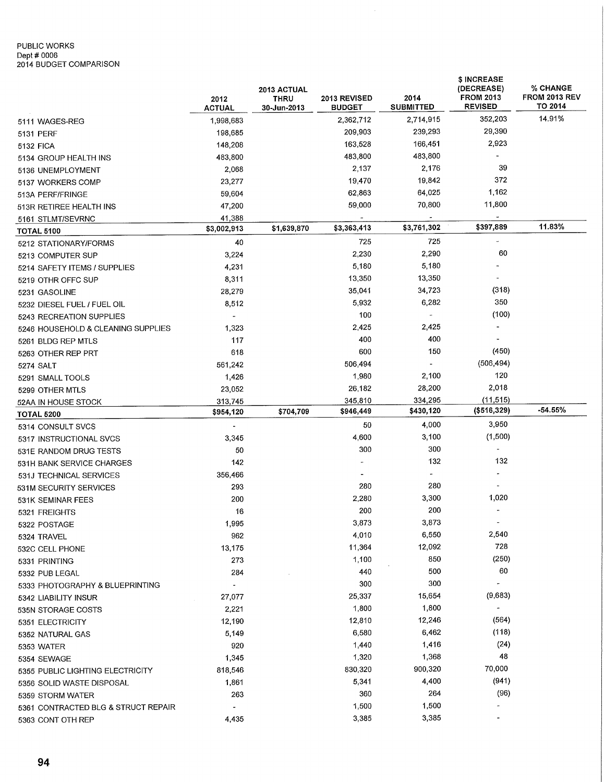## PUBLIC WORKS Dept # 0006 2014 BUDGET COMPARISON

|                                        | 2012<br><b>ACTUAL</b>   | 2013 ACTUAL<br><b>THRU</b><br>30-Jun-2013 | 2013 REVISED<br><b>BUDGET</b> | 2014<br><b>SUBMITTED</b> | \$ INCREASE<br>(DECREASE)<br><b>FROM 2013</b><br><b>REVISED</b> | % CHANGE<br><b>FROM 2013 REV</b><br>TO 2014 |
|----------------------------------------|-------------------------|-------------------------------------------|-------------------------------|--------------------------|-----------------------------------------------------------------|---------------------------------------------|
| 5111 WAGES-REG                         | 1,998,683               |                                           | 2,362,712                     | 2,714,915                | 352,203                                                         | 14.91%                                      |
| 5131 PERF                              | 198,685                 |                                           | 209,903                       | 239,293                  | 29,390                                                          |                                             |
| 5132 FICA                              | 148,208                 |                                           | 163,528                       | 166,451                  | 2,923                                                           |                                             |
| 5134 GROUP HEALTH INS                  | 483,800                 |                                           | 483,800                       | 483,800                  |                                                                 |                                             |
| 5136 UNEMPLOYMENT                      | 2,068                   |                                           | 2,137                         | 2,176                    | 39                                                              |                                             |
| 5137 WORKERS COMP                      | 23,277                  |                                           | 19,470                        | 19,842                   | 372                                                             |                                             |
| 513A PERF/FRINGE                       | 59,604                  |                                           | 62,863                        | 64,025                   | 1,162                                                           |                                             |
| 513R RETIREE HEALTH INS                | 47,200                  |                                           | 59,000                        | 70,800                   | 11,800                                                          |                                             |
|                                        | 41,388                  |                                           |                               |                          |                                                                 |                                             |
| 5161 STLMT/SEVRNC<br><b>TOTAL 5100</b> | \$3,002,913             | \$1,639,870                               | \$3,363,413                   | \$3,761,302              | \$397,889                                                       | 11.83%                                      |
| 5212 STATIONARY/FORMS                  | 40                      |                                           | 725                           | 725                      | ÷.                                                              |                                             |
| 5213 COMPUTER SUP                      | 3,224                   |                                           | 2,230                         | 2,290                    | 60                                                              |                                             |
|                                        | 4,231                   |                                           | 5,180                         | 5,180                    |                                                                 |                                             |
| 5214 SAFETY ITEMS / SUPPLIES           | 8,311                   |                                           | 13,350                        | 13,350                   |                                                                 |                                             |
| 5219 OTHR OFFC SUP                     | 28,279                  |                                           | 35,041                        | 34,723                   | (318)                                                           |                                             |
| 5231 GASOLINE                          |                         |                                           | 5,932                         | 6,282                    | 350                                                             |                                             |
| 5232 DIESEL FUEL / FUEL OIL            | 8,512                   |                                           | 100                           | $\overline{a}$           | (100)                                                           |                                             |
| 5243 RECREATION SUPPLIES               | $\blacksquare$<br>1.323 |                                           | 2,425                         | 2,425                    |                                                                 |                                             |
| 5246 HOUSEHOLD & CLEANING SUPPLIES     | 117                     |                                           | 400                           | 400                      |                                                                 |                                             |
| 5261 BLDG REP MTLS                     | 618                     |                                           | 600                           | 150                      | (450)                                                           |                                             |
| 5263 OTHER REP PRT                     |                         |                                           | 506,494                       | $\overline{\phantom{a}}$ | (506, 494)                                                      |                                             |
| 5274 SALT                              | 561,242                 |                                           |                               |                          | 120                                                             |                                             |
| 5291 SMALL TOOLS                       | 1,426                   |                                           | 1,980                         | 2,100<br>28,200          | 2,018                                                           |                                             |
| 5299 OTHER MTLS                        | 23,052                  |                                           | 26,182                        | 334,295                  | (11, 515)                                                       |                                             |
| 52AA IN HOUSE STOCK                    | 313,745<br>\$954,120    | \$704,709                                 | 345,810<br>\$946,449          | \$430,120                | (\$516,329)                                                     | -54.55%                                     |
| <b>TOTAL 5200</b>                      |                         |                                           | 50                            | 4,000                    | 3,950                                                           |                                             |
| 5314 CONSULT SVCS                      | $\blacksquare$          |                                           | 4,600                         | 3,100                    | (1,500)                                                         |                                             |
| 5317 INSTRUCTIONAL SVCS                | 3,345<br>50             |                                           | 300                           | 300                      |                                                                 |                                             |
| 531E RANDOM DRUG TESTS                 | 142                     |                                           |                               | 132                      | 132                                                             |                                             |
| 531H BANK SERVICE CHARGES              |                         |                                           |                               | $\rightarrow$            |                                                                 |                                             |
| 531J TECHNICAL SERVICES                | 356,466                 |                                           | 280                           | 280                      |                                                                 |                                             |
| 531M SECURITY SERVICES                 | 293<br>200              |                                           | 2,280                         | 3,300                    | 1,020                                                           |                                             |
| 531K SEMINAR FEES                      | 16                      |                                           | 200                           | 200                      | $\overline{\phantom{a}}$                                        |                                             |
| 5321 FREIGHTS                          |                         |                                           | 3,873                         | 3,873                    | $\overline{\phantom{a}}$                                        |                                             |
| 5322 POSTAGE                           | 1,995                   |                                           | 4,010                         | 6,550                    | 2,540                                                           |                                             |
| 5324 TRAVEL                            | 962<br>13,175           |                                           | 11,364                        | 12,092                   | 728                                                             |                                             |
| 532C CELL PHONE                        |                         |                                           | 1,100                         | 850                      | (250)                                                           |                                             |
| 5331 PRINTING                          | 273<br>284              |                                           | 440                           | 500                      | 60                                                              |                                             |
| 5332 PUB LEGAL                         |                         |                                           | 300                           | 300                      |                                                                 |                                             |
| 5333 PHOTOGRAPHY & BLUEPRINTING        | $\blacksquare$          |                                           | 25,337                        | 15,654                   | (9,683)                                                         |                                             |
| 5342 LIABILITY INSUR                   | 27,077                  |                                           | 1,800                         | 1,800                    | $\blacksquare$                                                  |                                             |
| 535N STORAGE COSTS                     | 2,221                   |                                           |                               |                          | (564)                                                           |                                             |
| 5351 ELECTRICITY                       | 12,190                  |                                           | 12,810                        | 12,246<br>6,462          | (118)                                                           |                                             |
| 5352 NATURAL GAS                       | 5,149                   |                                           | 6,580                         |                          |                                                                 |                                             |
| 5353 WATER                             | 920                     |                                           | 1,440                         | 1,416                    | (24)<br>48                                                      |                                             |
| 5354 SEWAGE                            | 1,345                   |                                           | 1,320                         | 1,368                    |                                                                 |                                             |
| 5355 PUBLIC LIGHTING ELECTRICITY       | 818,546                 |                                           | 830,320                       | 900,320                  | 70,000                                                          |                                             |
| 5356 SOLID WASTE DISPOSAL              | 1,861                   |                                           | 5,341                         | 4,400                    | (941)                                                           |                                             |
| 5359 STORM WATER                       | 263                     |                                           | 360                           | 264                      | (96)                                                            |                                             |
| 5361 CONTRACTED BLG & STRUCT REPAIR    |                         |                                           | 1,500                         | 1,500                    |                                                                 |                                             |
| 5363 CONT OTH REP                      | 4,435                   |                                           | 3,385                         | 3,385                    |                                                                 |                                             |

 $\hat{\mathcal{A}}$